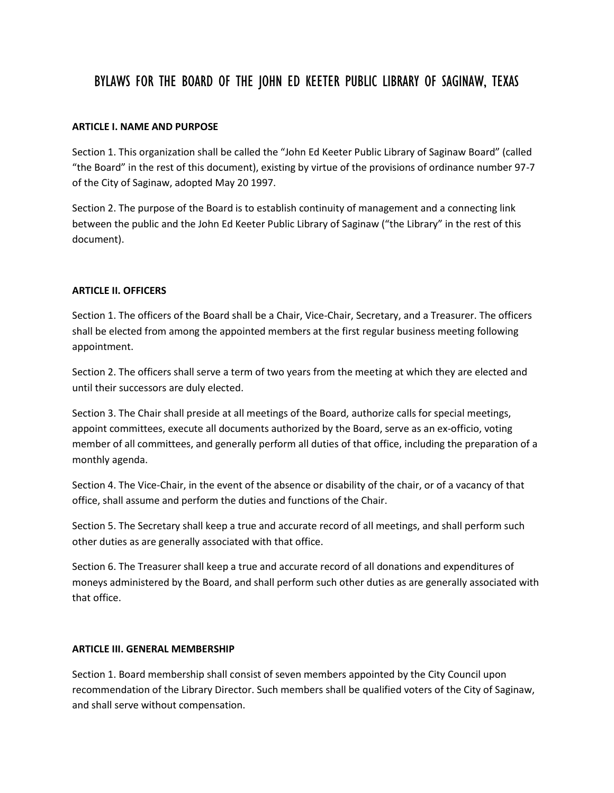# BYLAWS FOR THE BOARD OF THE JOHN ED KEETER PUBLIC LIBRARY OF SAGINAW, TEXAS

### **ARTICLE I. NAME AND PURPOSE**

Section 1. This organization shall be called the "John Ed Keeter Public Library of Saginaw Board" (called "the Board" in the rest of this document), existing by virtue of the provisions of ordinance number 97-7 of the City of Saginaw, adopted May 20 1997.

Section 2. The purpose of the Board is to establish continuity of management and a connecting link between the public and the John Ed Keeter Public Library of Saginaw ("the Library" in the rest of this document).

#### **ARTICLE II. OFFICERS**

Section 1. The officers of the Board shall be a Chair, Vice-Chair, Secretary, and a Treasurer. The officers shall be elected from among the appointed members at the first regular business meeting following appointment.

Section 2. The officers shall serve a term of two years from the meeting at which they are elected and until their successors are duly elected.

Section 3. The Chair shall preside at all meetings of the Board, authorize calls for special meetings, appoint committees, execute all documents authorized by the Board, serve as an ex-officio, voting member of all committees, and generally perform all duties of that office, including the preparation of a monthly agenda.

Section 4. The Vice-Chair, in the event of the absence or disability of the chair, or of a vacancy of that office, shall assume and perform the duties and functions of the Chair.

Section 5. The Secretary shall keep a true and accurate record of all meetings, and shall perform such other duties as are generally associated with that office.

Section 6. The Treasurer shall keep a true and accurate record of all donations and expenditures of moneys administered by the Board, and shall perform such other duties as are generally associated with that office.

#### **ARTICLE III. GENERAL MEMBERSHIP**

Section 1. Board membership shall consist of seven members appointed by the City Council upon recommendation of the Library Director. Such members shall be qualified voters of the City of Saginaw, and shall serve without compensation.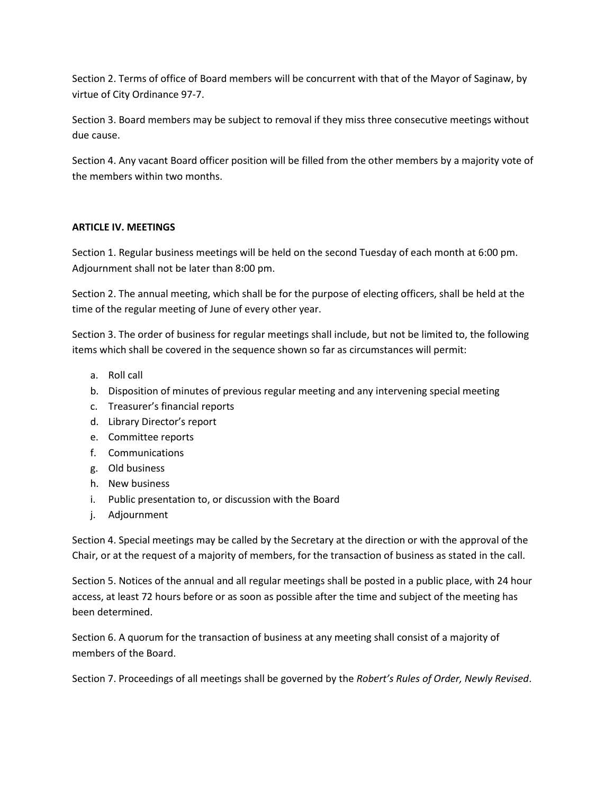Section 2. Terms of office of Board members will be concurrent with that of the Mayor of Saginaw, by virtue of City Ordinance 97-7.

Section 3. Board members may be subject to removal if they miss three consecutive meetings without due cause.

Section 4. Any vacant Board officer position will be filled from the other members by a majority vote of the members within two months.

## **ARTICLE IV. MEETINGS**

Section 1. Regular business meetings will be held on the second Tuesday of each month at 6:00 pm. Adjournment shall not be later than 8:00 pm.

Section 2. The annual meeting, which shall be for the purpose of electing officers, shall be held at the time of the regular meeting of June of every other year.

Section 3. The order of business for regular meetings shall include, but not be limited to, the following items which shall be covered in the sequence shown so far as circumstances will permit:

- a. Roll call
- b. Disposition of minutes of previous regular meeting and any intervening special meeting
- c. Treasurer's financial reports
- d. Library Director's report
- e. Committee reports
- f. Communications
- g. Old business
- h. New business
- i. Public presentation to, or discussion with the Board
- j. Adjournment

Section 4. Special meetings may be called by the Secretary at the direction or with the approval of the Chair, or at the request of a majority of members, for the transaction of business as stated in the call.

Section 5. Notices of the annual and all regular meetings shall be posted in a public place, with 24 hour access, at least 72 hours before or as soon as possible after the time and subject of the meeting has been determined.

Section 6. A quorum for the transaction of business at any meeting shall consist of a majority of members of the Board.

Section 7. Proceedings of all meetings shall be governed by the *Robert's Rules of Order, Newly Revised*.